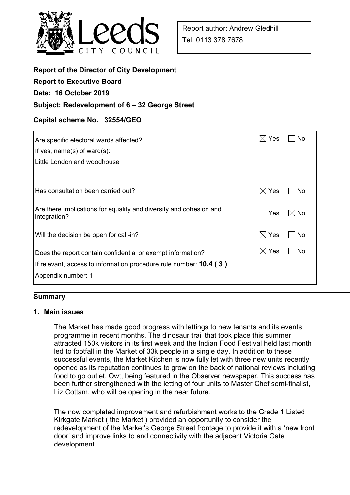

| <b>Report of the Director of City Development</b>                  |                       |                |
|--------------------------------------------------------------------|-----------------------|----------------|
| <b>Report to Executive Board</b>                                   |                       |                |
| Date: 16 October 2019                                              |                       |                |
| Subject: Redevelopment of 6 – 32 George Street                     |                       |                |
|                                                                    |                       |                |
| Capital scheme No. 32554/GEO                                       |                       |                |
| Are specific electoral wards affected?                             | $\boxtimes$ Yes       | <b>No</b>      |
| If yes, $name(s)$ of ward $(s)$ :                                  |                       |                |
| Little London and woodhouse                                        |                       |                |
|                                                                    |                       |                |
| Has consultation been carried out?                                 | $\boxtimes$ Yes       | No             |
|                                                                    |                       |                |
| Are there implications for equality and diversity and cohesion and | Yes<br>$\blacksquare$ | $\boxtimes$ No |
| integration?                                                       |                       |                |
| Will the decision be open for call-in?                             | $\boxtimes$ Yes       | No             |
| Does the report contain confidential or exempt information?        | $\boxtimes$ Yes       | No             |
| If relevant, access to information procedure rule number: 10.4 (3) |                       |                |
| Appendix number: 1                                                 |                       |                |
|                                                                    |                       |                |

#### **Summary**

#### **1. Main issues**

The Market has made good progress with lettings to new tenants and its events programme in recent months. The dinosaur trail that took place this summer attracted 150k visitors in its first week and the Indian Food Festival held last month led to footfall in the Market of 33k people in a single day. In addition to these successful events, the Market Kitchen is now fully let with three new units recently opened as its reputation continues to grow on the back of national reviews including food to go outlet, Owt, being featured in the Observer newspaper. This success has been further strengthened with the letting of four units to Master Chef semi-finalist, Liz Cottam, who will be opening in the near future.

 The now completed improvement and refurbishment works to the Grade 1 Listed Kirkgate Market ( the Market ) provided an opportunity to consider the redevelopment of the Market's George Street frontage to provide it with a 'new front door' and improve links to and connectivity with the adjacent Victoria Gate development.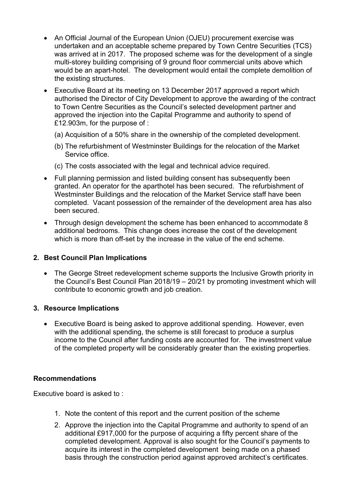- An Official Journal of the European Union (OJEU) procurement exercise was undertaken and an acceptable scheme prepared by Town Centre Securities (TCS) was arrived at in 2017. The proposed scheme was for the development of a single multi-storey building comprising of 9 ground floor commercial units above which would be an apart-hotel. The development would entail the complete demolition of the existing structures.
- Executive Board at its meeting on 13 December 2017 approved a report which authorised the Director of City Development to approve the awarding of the contract to Town Centre Securities as the Council's selected development partner and approved the injection into the Capital Programme and authority to spend of £12.903m, for the purpose of :
	- (a) Acquisition of a 50% share in the ownership of the completed development.
	- (b) The refurbishment of Westminster Buildings for the relocation of the Market Service office.
	- (c) The costs associated with the legal and technical advice required.
- Full planning permission and listed building consent has subsequently been granted. An operator for the aparthotel has been secured. The refurbishment of Westminster Buildings and the relocation of the Market Service staff have been completed. Vacant possession of the remainder of the development area has also been secured.
- Through design development the scheme has been enhanced to accommodate 8 additional bedrooms. This change does increase the cost of the development which is more than off-set by the increase in the value of the end scheme.

## **2. Best Council Plan Implications**

• The George Street redevelopment scheme supports the Inclusive Growth priority in the Council's Best Council Plan 2018/19 – 20/21 by promoting investment which will contribute to economic growth and job creation.

## **3. Resource Implications**

 Executive Board is being asked to approve additional spending. However, even with the additional spending, the scheme is still forecast to produce a surplus income to the Council after funding costs are accounted for. The investment value of the completed property will be considerably greater than the existing properties.

## **Recommendations**

Executive board is asked to :

- 1. Note the content of this report and the current position of the scheme
- 2. Approve the injection into the Capital Programme and authority to spend of an additional £917,000 for the purpose of acquiring a fifty percent share of the completed development. Approval is also sought for the Council's payments to acquire its interest in the completed development being made on a phased basis through the construction period against approved architect's certificates.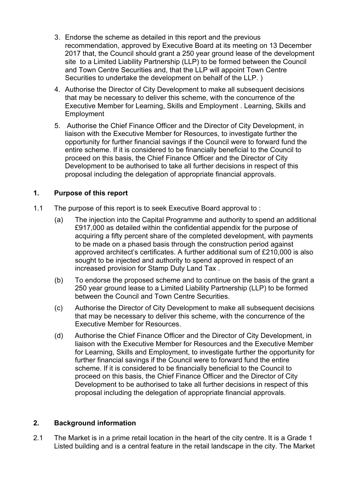- 3. Endorse the scheme as detailed in this report and the previous recommendation, approved by Executive Board at its meeting on 13 December 2017 that, the Council should grant a 250 year ground lease of the development site to a Limited Liability Partnership (LLP) to be formed between the Council and Town Centre Securities and, that the LLP will appoint Town Centre Securities to undertake the development on behalf of the LLP. )
- 4. Authorise the Director of City Development to make all subsequent decisions that may be necessary to deliver this scheme, with the concurrence of the Executive Member for Learning, Skills and Employment . Learning, Skills and Employment
- 5. Authorise the Chief Finance Officer and the Director of City Development, in liaison with the Executive Member for Resources, to investigate further the opportunity for further financial savings if the Council were to forward fund the entire scheme. If it is considered to be financially beneficial to the Council to proceed on this basis, the Chief Finance Officer and the Director of City Development to be authorised to take all further decisions in respect of this proposal including the delegation of appropriate financial approvals.

## **1. Purpose of this report**

- 1.1 The purpose of this report is to seek Executive Board approval to :
	- (a) The injection into the Capital Programme and authority to spend an additional £917,000 as detailed within the confidential appendix for the purpose of acquiring a fifty percent share of the completed development, with payments to be made on a phased basis through the construction period against approved architect's certificates. A further additional sum of £210,000 is also sought to be injected and authority to spend approved in respect of an increased provision for Stamp Duty Land Tax .
	- (b) To endorse the proposed scheme and to continue on the basis of the grant a 250 year ground lease to a Limited Liability Partnership (LLP) to be formed between the Council and Town Centre Securities.
	- (c) Authorise the Director of City Development to make all subsequent decisions that may be necessary to deliver this scheme, with the concurrence of the Executive Member for Resources.
	- (d) Authorise the Chief Finance Officer and the Director of City Development, in liaison with the Executive Member for Resources and the Executive Member for Learning, Skills and Employment, to investigate further the opportunity for further financial savings if the Council were to forward fund the entire scheme. If it is considered to be financially beneficial to the Council to proceed on this basis, the Chief Finance Officer and the Director of City Development to be authorised to take all further decisions in respect of this proposal including the delegation of appropriate financial approvals.

## **2. Background information**

2.1 The Market is in a prime retail location in the heart of the city centre. It is a Grade 1 Listed building and is a central feature in the retail landscape in the city. The Market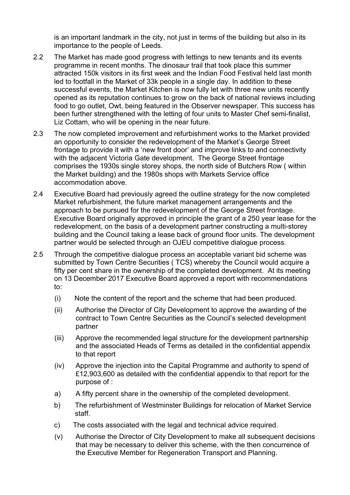is an important landmark in the city, not just in terms of the building but also in its importance to the people of Leeds.

- 2.2 The Market has made good progress with lettings to new tenants and its events programme in recent months. The dinosaur trail that took place this summer attracted 150k visitors in its first week and the Indian Food Festival held last month led to footfall in the Market of 33k people in a single day. In addition to these successful events, the Market Kitchen is now fully let with three new units recently opened as its reputation continues to grow on the back of national reviews including food to go outlet, Owt, being featured in the Observer newspaper. This success has been further strengthened with the letting of four units to Master Chef semi-finalist, Liz Cottam, who will be opening in the near future.
- 2.3 The now completed improvement and refurbishment works to the Market provided an opportunity to consider the redevelopment of the Market's George Street frontage to provide it with a 'new front door' and improve links to and connectivity with the adjacent Victoria Gate development. The George Street frontage comprises the 1930s single storey shops, the north side of Butchers Row ( within the Market building) and the 1980s shops with Markets Service office accommodation above.
- 2.4 Executive Board had previously agreed the outline strategy for the now completed Market refurbishment, the future market management arrangements and the approach to be pursued for the redevelopment of the George Street frontage. Executive Board originally approved in principle the grant of a 250 year lease for the redevelopment, on the basis of a development partner constructing a multi-storey building and the Council taking a lease back of ground floor units. The development partner would be selected through an OJEU competitive dialogue process.
- 2.5 Through the competitive dialogue process an acceptable variant bid scheme was submitted by Town Centre Securities ( TCS) whereby the Council would acquire a fifty per cent share in the ownership of the completed development. At its meeting on 13 December 2017 Executive Board approved a report with recommendations to:
	- (i) Note the content of the report and the scheme that had been produced.
	- (ii) Authorise the Director of City Development to approve the awarding of the contract to Town Centre Securities as the Council's selected development partner
	- (iii) Approve the recommended legal structure for the development partnership and the associated Heads of Terms as detailed in the confidential appendix to that report
	- (iv) Approve the injection into the Capital Programme and authority to spend of £12,903,600 as detailed with the confidential appendix to that report for the purpose of :
	- a) A fifty percent share in the ownership of the completed development.
	- b) The refurbishment of Westminster Buildings for relocation of Market Service staff.
	- c) The costs associated with the legal and technical advice required.
	- (v) Authorise the Director of City Development to make all subsequent decisions that may be necessary to deliver this scheme, with the then concurrence of the Executive Member for Regeneration Transport and Planning.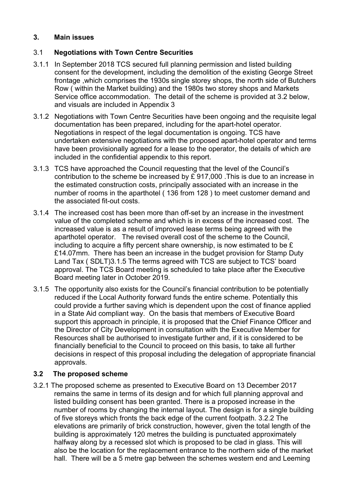### **3. Main issues**

## 3.1 **Negotiations with Town Centre Securities**

- 3.1.1 In September 2018 TCS secured full planning permission and listed building consent for the development, including the demolition of the existing George Street frontage ,which comprises the 1930s single storey shops, the north side of Butchers Row ( within the Market building) and the 1980s two storey shops and Markets Service office accommodation. The detail of the scheme is provided at 3.2 below, and visuals are included in Appendix 3
- 3.1.2 Negotiations with Town Centre Securities have been ongoing and the requisite legal documentation has been prepared, including for the apart-hotel operator. Negotiations in respect of the legal documentation is ongoing. TCS have undertaken extensive negotiations with the proposed apart-hotel operator and terms have been provisionally agreed for a lease to the operator, the details of which are included in the confidential appendix to this report.
- 3.1.3 TCS have approached the Council requesting that the level of the Council's contribution to the scheme be increased by £ 917,000 .This is due to an increase in the estimated construction costs, principally associated with an increase in the number of rooms in the aparthotel ( 136 from 128 ) to meet customer demand and the associated fit-out costs.
- 3.1.4 The increased cost has been more than off-set by an increase in the investment value of the completed scheme and which is in excess of the increased cost. The increased value is as a result of improved lease terms being agreed with the aparthotel operator. The revised overall cost of the scheme to the Council, including to acquire a fifty percent share ownership, is now estimated to be £ £14.07mm. There has been an increase in the budget provision for Stamp Duty Land Tax ( SDLT)3.1.5 The terms agreed with TCS are subject to TCS' board approval. The TCS Board meeting is scheduled to take place after the Executive Board meeting later in October 2019.
- 3.1.5 The opportunity also exists for the Council's financial contribution to be potentially reduced if the Local Authority forward funds the entire scheme. Potentially this could provide a further saving which is dependent upon the cost of finance applied in a State Aid compliant way. On the basis that members of Executive Board support this approach in principle, it is proposed that the Chief Finance Officer and the Director of City Development in consultation with the Executive Member for Resources shall be authorised to investigate further and, if it is considered to be financially beneficial to the Council to proceed on this basis, to take all further decisions in respect of this proposal including the delegation of appropriate financial approvals.

## **3.2 The proposed scheme**

3.2.1 The proposed scheme as presented to Executive Board on 13 December 2017 remains the same in terms of its design and for which full planning approval and listed building consent has been granted. There is a proposed increase in the number of rooms by changing the internal layout. The design is for a single building of five storeys which fronts the back edge of the current footpath. 3.2.2 The elevations are primarily of brick construction, however, given the total length of the building is approximately 120 metres the building is punctuated approximately halfway along by a recessed slot which is proposed to be clad in glass. This will also be the location for the replacement entrance to the northern side of the market hall. There will be a 5 metre gap between the schemes western end and Leeming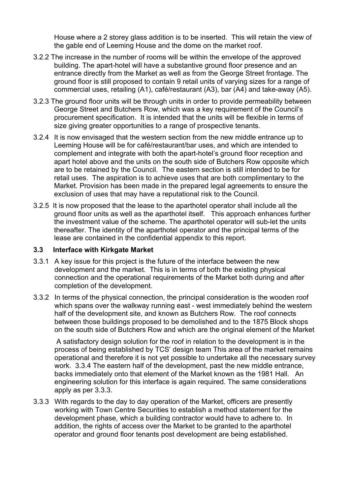House where a 2 storey glass addition is to be inserted. This will retain the view of the gable end of Leeming House and the dome on the market roof.

- 3.2.2 The increase in the number of rooms will be within the envelope of the approved building. The apart-hotel will have a substantive ground floor presence and an entrance directly from the Market as well as from the George Street frontage. The ground floor is still proposed to contain 9 retail units of varying sizes for a range of commercial uses, retailing (A1), café/restaurant (A3), bar (A4) and take-away (A5).
- 3.2.3 The ground floor units will be through units in order to provide permeability between George Street and Butchers Row, which was a key requirement of the Council's procurement specification. It is intended that the units will be flexible in terms of size giving greater opportunities to a range of prospective tenants.
- 3.2.4 It is now envisaged that the western section from the new middle entrance up to Leeming House will be for café/restaurant/bar uses, and which are intended to complement and integrate with both the apart-hotel's ground floor reception and apart hotel above and the units on the south side of Butchers Row opposite which are to be retained by the Council. The eastern section is still intended to be for retail uses. The aspiration is to achieve uses that are both complimentary to the Market. Provision has been made in the prepared legal agreements to ensure the exclusion of uses that may have a reputational risk to the Council.
- 3.2.5 It is now proposed that the lease to the aparthotel operator shall include all the ground floor units as well as the aparthotel itself. This approach enhances further the investment value of the scheme. The aparthotel operator will sub-let the units thereafter. The identity of the aparthotel operator and the principal terms of the lease are contained in the confidential appendix to this report.

#### **3.3 Interface with Kirkgate Market**

- 3.3.1 A key issue for this project is the future of the interface between the new development and the market. This is in terms of both the existing physical connection and the operational requirements of the Market both during and after completion of the development.
- 3.3.2 In terms of the physical connection, the principal consideration is the wooden roof which spans over the walkway running east - west immediately behind the western half of the development site, and known as Butchers Row. The roof connects between those buildings proposed to be demolished and to the 1875 Block shops on the south side of Butchers Row and which are the original element of the Market

 A satisfactory design solution for the roof in relation to the development is in the process of being established by TCS' design team This area of the market remains operational and therefore it is not yet possible to undertake all the necessary survey work. 3.3.4 The eastern half of the development, past the new middle entrance, backs immediately onto that element of the Market known as the 1981 Hall. An engineering solution for this interface is again required. The same considerations apply as per 3.3.3.

3.3.3 With regards to the day to day operation of the Market, officers are presently working with Town Centre Securities to establish a method statement for the development phase, which a building contractor would have to adhere to. In addition, the rights of access over the Market to be granted to the aparthotel operator and ground floor tenants post development are being established.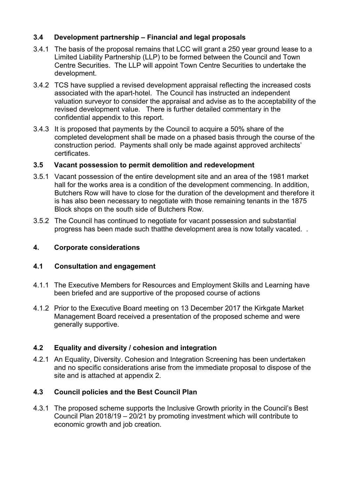# **3.4 Development partnership – Financial and legal proposals**

- 3.4.1 The basis of the proposal remains that LCC will grant a 250 year ground lease to a Limited Liability Partnership (LLP) to be formed between the Council and Town Centre Securities. The LLP will appoint Town Centre Securities to undertake the development.
- 3.4.2 TCS have supplied a revised development appraisal reflecting the increased costs associated with the apart-hotel. The Council has instructed an independent valuation surveyor to consider the appraisal and advise as to the acceptability of the revised development value. There is further detailed commentary in the confidential appendix to this report.
- 3.4.3 It is proposed that payments by the Council to acquire a 50% share of the completed development shall be made on a phased basis through the course of the construction period. Payments shall only be made against approved architects' certificates.

## **3.5 Vacant possession to permit demolition and redevelopment**

- 3.5.1 Vacant possession of the entire development site and an area of the 1981 market hall for the works area is a condition of the development commencing. In addition, Butchers Row will have to close for the duration of the development and therefore it is has also been necessary to negotiate with those remaining tenants in the 1875 Block shops on the south side of Butchers Row.
- 3.5.2 The Council has continued to negotiate for vacant possession and substantial progress has been made such thatthe development area is now totally vacated. .

## **4. Corporate considerations**

## **4.1 Consultation and engagement**

- 4.1.1 The Executive Members for Resources and Employment Skills and Learning have been briefed and are supportive of the proposed course of actions
- 4.1.2 Prior to the Executive Board meeting on 13 December 2017 the Kirkgate Market Management Board received a presentation of the proposed scheme and were generally supportive.

## **4.2 Equality and diversity / cohesion and integration**

4.2.1 An Equality, Diversity. Cohesion and Integration Screening has been undertaken and no specific considerations arise from the immediate proposal to dispose of the site and is attached at appendix 2.

## **4.3 Council policies and the Best Council Plan**

4.3.1 The proposed scheme supports the Inclusive Growth priority in the Council's Best Council Plan 2018/19 – 20/21 by promoting investment which will contribute to economic growth and job creation.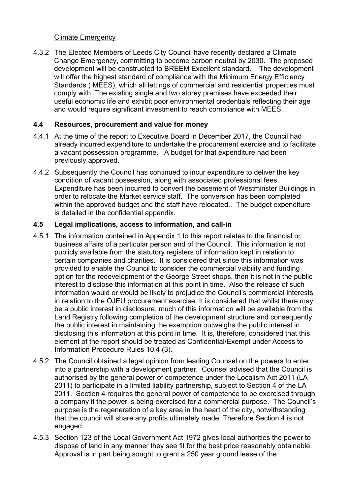## Climate Emergency

4.3.2 The Elected Members of Leeds City Council have recently declared a Climate Change Emergency, committing to become carbon neutral by 2030. The proposed development will be constructed to BREEM Excellent standard. The development will offer the highest standard of compliance with the Minimum Energy Efficiency Standards ( MEES), which all lettings of commercial and residential properties must comply with. The existing single and two storey premises have exceeded their useful economic life and exhibit poor environmental credentials reflecting their age and would require significant investment to reach compliance with MEES.

# **4.4 Resources, procurement and value for money**

- 4.4.1 At the time of the report to Executive Board in December 2017, the Council had already incurred expenditure to undertake the procurement exercise and to facilitate a vacant possession programme. A budget for that expenditure had been previously approved.
- 4.4.2 Subsequently the Council has continued to incur expenditure to deliver the key condition of vacant possession, along with associated professional fees. Expenditure has been incurred to convert the basement of Westminster Buildings in order to relocate the Market service staff. The conversion has been completed within the approved budget and the staff have relocated.. The budget expenditure is detailed in the confidential appendix.

## **4.5 Legal implications, access to information, and call-in**

- 4.5.1 The information contained in Appendix 1 to this report relates to the financial or business affairs of a particular person and of the Council. This information is not publicly available from the statutory registers of information kept in relation to certain companies and charities. It is considered that since this information was provided to enable the Council to consider the commercial viability and funding option for the redevelopment of the George Street shops, then it is not in the public interest to disclose this information at this point in time. Also the release of such information would or would be likely to prejudice the Council's commercial interests in relation to the OJEU procurement exercise. It is considered that whilst there may be a public interest in disclosure, much of this information will be available from the Land Registry following completion of the development structure and consequently the public interest in maintaining the exemption outweighs the public interest in disclosing this information at this point in time. It is, therefore, considered that this element of the report should be treated as Confidential/Exempt under Access to Information Procedure Rules 10.4 (3).
- 4.5.2 The Council obtained a legal opinion from leading Counsel on the powers to enter into a partnership with a development partner. Counsel advised that the Council is authorised by the general power of competence under the Localism Act 2011 (LA 2011) to participate in a limited liability partnership, subject to Section 4 of the LA 2011. Section 4 requires the general power of competence to be exercised through a company if the power is being exercised for a commercial purpose. The Council's purpose is the regeneration of a key area in the heart of the city, notwithstanding that the council will share any profits ultimately made. Therefore Section 4 is not engaged.
- 4.5.3 Section 123 of the Local Government Act 1972 gives local authorities the power to dispose of land in any manner they see fit for the best price reasonably obtainable. Approval is in part being sought to grant a 250 year ground lease of the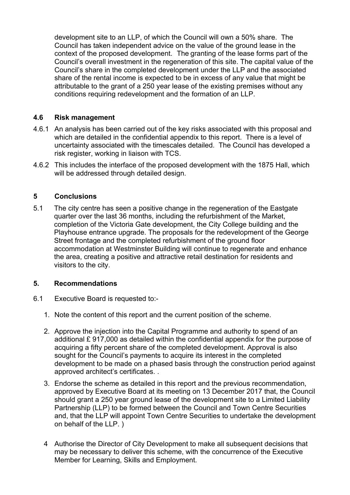development site to an LLP, of which the Council will own a 50% share. The Council has taken independent advice on the value of the ground lease in the context of the proposed development. The granting of the lease forms part of the Council's overall investment in the regeneration of this site. The capital value of the Council's share in the completed development under the LLP and the associated share of the rental income is expected to be in excess of any value that might be attributable to the grant of a 250 year lease of the existing premises without any conditions requiring redevelopment and the formation of an LLP.

### **4.6 Risk management**

- 4.6.1 An analysis has been carried out of the key risks associated with this proposal and which are detailed in the confidential appendix to this report. There is a level of uncertainty associated with the timescales detailed. The Council has developed a risk register, working in liaison with TCS.
- 4.6.2 This includes the interface of the proposed development with the 1875 Hall, which will be addressed through detailed design.

### **5 Conclusions**

5.1 The city centre has seen a positive change in the regeneration of the Eastgate quarter over the last 36 months, including the refurbishment of the Market, completion of the Victoria Gate development, the City College building and the Playhouse entrance upgrade. The proposals for the redevelopment of the George Street frontage and the completed refurbishment of the ground floor accommodation at Westminster Building will continue to regenerate and enhance the area, creating a positive and attractive retail destination for residents and visitors to the city.

#### **5. Recommendations**

- 6.1 Executive Board is requested to:-
	- 1. Note the content of this report and the current position of the scheme.
	- 2. Approve the injection into the Capital Programme and authority to spend of an additional £ 917,000 as detailed within the confidential appendix for the purpose of acquiring a fifty percent share of the completed development. Approval is also sought for the Council's payments to acquire its interest in the completed development to be made on a phased basis through the construction period against approved architect's certificates. .
	- 3. Endorse the scheme as detailed in this report and the previous recommendation, approved by Executive Board at its meeting on 13 December 2017 that, the Council should grant a 250 year ground lease of the development site to a Limited Liability Partnership (LLP) to be formed between the Council and Town Centre Securities and, that the LLP will appoint Town Centre Securities to undertake the development on behalf of the LLP. )
	- 4 Authorise the Director of City Development to make all subsequent decisions that may be necessary to deliver this scheme, with the concurrence of the Executive Member for Learning, Skills and Employment.